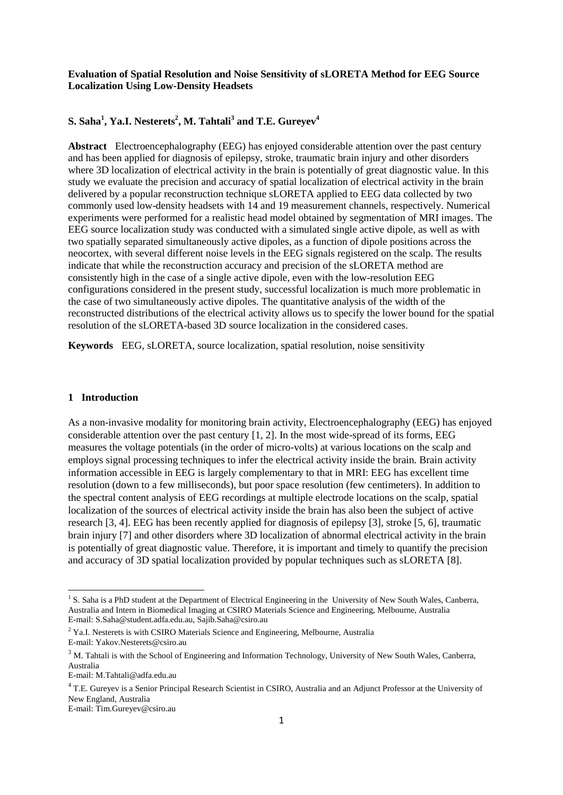### **Evaluation of Spatial Resolution and Noise Sensitivity of sLORETA Method for EEG Source Localization Using Low-Density Headsets**

# **S. Saha<sup>1</sup> , Ya.I. Nesterets<sup>2</sup> , M. Tahtali<sup>3</sup> and T.E. Gureyev<sup>4</sup>**

**Abstract** Electroencephalography (EEG) has enjoyed considerable attention over the past century and has been applied for diagnosis of epilepsy, stroke, traumatic brain injury and other disorders where 3D localization of electrical activity in the brain is potentially of great diagnostic value. In this study we evaluate the precision and accuracy of spatial localization of electrical activity in the brain delivered by a popular reconstruction technique sLORETA applied to EEG data collected by two commonly used low-density headsets with 14 and 19 measurement channels, respectively. Numerical experiments were performed for a realistic head model obtained by segmentation of MRI images. The EEG source localization study was conducted with a simulated single active dipole, as well as with two spatially separated simultaneously active dipoles, as a function of dipole positions across the neocortex, with several different noise levels in the EEG signals registered on the scalp. The results indicate that while the reconstruction accuracy and precision of the sLORETA method are consistently high in the case of a single active dipole, even with the low-resolution EEG configurations considered in the present study, successful localization is much more problematic in the case of two simultaneously active dipoles. The quantitative analysis of the width of the reconstructed distributions of the electrical activity allows us to specify the lower bound for the spatial resolution of the sLORETA-based 3D source localization in the considered cases.

**Keywords** EEG, sLORETA, source localization, spatial resolution, noise sensitivity

## **1 Introduction**

As a non-invasive modality for monitoring brain activity, Electroencephalography (EEG) has enjoyed considerable attention over the past century  $[1, 2]$ . In the most wide-spread of its forms, EEG measures the voltage potentials (in the order of micro-volts) at various locations on the scalp and employs signal processing techniques to infer the electrical activity inside the brain. Brain activity information accessible in EEG is largely complementary to that in MRI: EEG has excellent time resolution (down to a few milliseconds), but poor space resolution (few centimeters). In addition to the spectral content analysis of EEG recordings at multiple electrode locations on the scalp, spatial localization of the sources of electrical activity inside the brain has also been the subject of active research [3, 4]. EEG has been recently applied for diagnosis of epilepsy [3], stroke [5, 6], traumatic brain injury [7] and other disorders where 3D localization of abnormal electrical activity in the brain is potentially of great diagnostic value. Therefore, it is important and timely to quantify the precision and accuracy of 3D spatial localization provided by popular techniques such as sLORETA [8].

1

<sup>&</sup>lt;sup>1</sup> S. Saha is a PhD student at the Department of Electrical Engineering in the University of New South Wales, Canberra, Australia and Intern in Biomedical Imaging at CSIRO Materials Science and Engineering, Melbourne, Australia E-mail: S.Saha@student.adfa.edu.au, Sajib.Saha@csiro.au

<sup>&</sup>lt;sup>2</sup> Ya.I. Nesterets is with CSIRO Materials Science and Engineering, Melbourne, Australia E-mail: Yakov.Nesterets@csiro.au

<sup>&</sup>lt;sup>3</sup> M. Tahtali is with the School of Engineering and Information Technology, University of New South Wales, Canberra, Australia

E-mail: M.Tahtali@adfa.edu.au

<sup>&</sup>lt;sup>4</sup> T.E. Gureyev is a Senior Principal Research Scientist in CSIRO, Australia and an Adjunct Professor at the University of New England, Australia

E-mail: Tim.Gureyev@csiro.au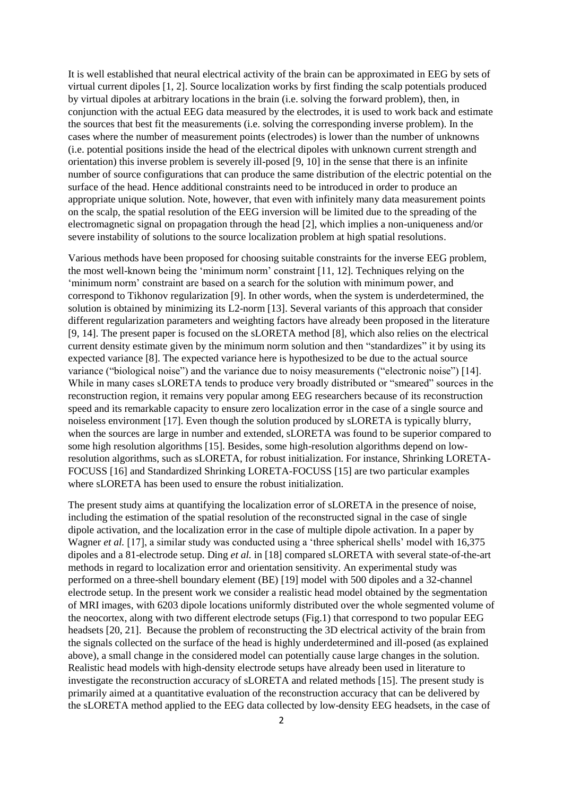It is well established that neural electrical activity of the brain can be approximated in EEG by sets of virtual current dipoles [1, 2]. Source localization works by first finding the scalp potentials produced by virtual dipoles at arbitrary locations in the brain (i.e. solving the forward problem), then, in conjunction with the actual EEG data measured by the electrodes, it is used to work back and estimate the sources that best fit the measurements (i.e. solving the corresponding inverse problem). In the cases where the number of measurement points (electrodes) is lower than the number of unknowns (i.e. potential positions inside the head of the electrical dipoles with unknown current strength and orientation) this inverse problem is severely ill-posed [9, 10] in the sense that there is an infinite number of source configurations that can produce the same distribution of the electric potential on the surface of the head. Hence additional constraints need to be introduced in order to produce an appropriate unique solution. Note, however, that even with infinitely many data measurement points on the scalp, the spatial resolution of the EEG inversion will be limited due to the spreading of the electromagnetic signal on propagation through the head [2], which implies a non-uniqueness and/or severe instability of solutions to the source localization problem at high spatial resolutions.

Various methods have been proposed for choosing suitable constraints for the inverse EEG problem, the most well-known being the 'minimum norm' constraint [11, 12]. Techniques relying on the 'minimum norm' constraint are based on a search for the solution with minimum power, and correspond to Tikhonov regularization [9]. In other words, when the system is underdetermined, the solution is obtained by minimizing its L2-norm [13]. Several variants of this approach that consider different regularization parameters and weighting factors have already been proposed in the literature [9, 14]. The present paper is focused on the sLORETA method [8], which also relies on the electrical current density estimate given by the minimum norm solution and then "standardizes" it by using its expected variance [8]. The expected variance here is hypothesized to be due to the actual source variance ("biological noise") and the variance due to noisy measurements ("electronic noise") [14]. While in many cases sLORETA tends to produce very broadly distributed or "smeared" sources in the reconstruction region, it remains very popular among EEG researchers because of its reconstruction speed and its remarkable capacity to ensure zero localization error in the case of a single source and noiseless environment [17]. Even though the solution produced by sLORETA is typically blurry, when the sources are large in number and extended, sLORETA was found to be superior compared to some high resolution algorithms [15]. Besides, some high-resolution algorithms depend on lowresolution algorithms, such as sLORETA, for robust initialization. For instance, Shrinking LORETA-FOCUSS [16] and Standardized Shrinking LORETA-FOCUSS [15] are two particular examples where sLORETA has been used to ensure the robust initialization.

The present study aims at quantifying the localization error of sLORETA in the presence of noise, including the estimation of the spatial resolution of the reconstructed signal in the case of single dipole activation, and the localization error in the case of multiple dipole activation. In a paper by Wagner *et al.* [17], a similar study was conducted using a 'three spherical shells' model with 16,375 dipoles and a 81-electrode setup. Ding *et al.* in [18] compared sLORETA with several state-of-the-art methods in regard to localization error and orientation sensitivity. An experimental study was performed on a three-shell boundary element (BE) [19] model with 500 dipoles and a 32-channel electrode setup. In the present work we consider a realistic head model obtained by the segmentation of MRI images, with 6203 dipole locations uniformly distributed over the whole segmented volume of the neocortex, along with two different electrode setups (Fig.1) that correspond to two popular EEG headsets [20, 21]. Because the problem of reconstructing the 3D electrical activity of the brain from the signals collected on the surface of the head is highly underdetermined and ill-posed (as explained above), a small change in the considered model can potentially cause large changes in the solution. Realistic head models with high-density electrode setups have already been used in literature to investigate the reconstruction accuracy of sLORETA and related methods [15]. The present study is primarily aimed at a quantitative evaluation of the reconstruction accuracy that can be delivered by the sLORETA method applied to the EEG data collected by low-density EEG headsets, in the case of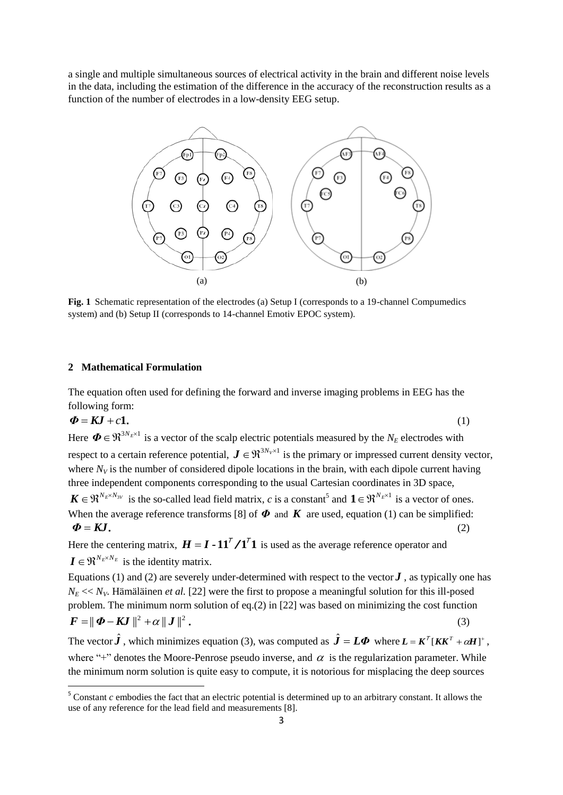a single and multiple simultaneous sources of electrical activity in the brain and different noise levels in the data, including the estimation of the difference in the accuracy of the reconstruction results as a function of the number of electrodes in a low-density EEG setup.



**Fig. 1** Schematic representation of the electrodes (a) Setup I (corresponds to a 19-channel Compumedics system) and (b) Setup II (corresponds to 14-channel Emotiv EPOC system).

## **2 Mathematical Formulation**

**.** 

The equation often used for defining the forward and inverse imaging problems in EEG has the following form:

$$
\boldsymbol{\Phi} = \boldsymbol{K} \boldsymbol{J} + c \boldsymbol{1} \tag{1}
$$

Here  $\Phi \in \mathfrak{R}^{3N_E \times 1}$  is a vector of the scalp electric potentials measured by the  $N_E$  electrodes with respect to a certain reference potential,  $J \in \mathbb{R}^{3N_V \times 1}$  is the primary or impressed current density vector, where  $N_V$  is the number of considered dipole locations in the brain, with each dipole current having three independent components corresponding to the usual Cartesian coordinates in 3D space,  $\mathbf{K} \in \mathbb{R}^{N_E \times N_{3V}}$  is the so-called lead field matrix, *c* is a constant<sup>5</sup> and  $\mathbf{1} \in \mathbb{R}^{N_E \times 1}$  is a vector of ones.

When the average reference transforms [8] of  $\Phi$  and  $K$  are used, equation (1) can be simplified:  $\Phi = KJ$ . (2)

Here the centering matrix,  $H = I - 11^{7} / 1^{7}$  is used as the average reference operator and  $\mathbf{I} \in \mathfrak{R}^{N_E \times N_E}$  is the identity matrix.

Equations (1) and (2) are severely under-determined with respect to the vector  $J$ , as typically one has  $N_E \ll N_V$ . Hämäläinen *et al.* [22] were the first to propose a meaningful solution for this ill-posed problem. The minimum norm solution of eq.(2) in [22] was based on minimizing the cost function  $\boldsymbol{F} = \parallel \boldsymbol{\varPhi} - \boldsymbol{K} \boldsymbol{J} \parallel^2 + \alpha \parallel \boldsymbol{J} \parallel^2$  . (3)

The vector  $\hat{\boldsymbol{J}}$ , which minimizes equation (3), was computed as  $\hat{\boldsymbol{J}} = L\boldsymbol{\Phi}$  where  $\boldsymbol{L} = \boldsymbol{K}^T[\boldsymbol{K}\boldsymbol{K}^T + \alpha \boldsymbol{H}]^+$ , where "+" denotes the Moore-Penrose pseudo inverse, and  $\alpha$  is the regularization parameter. While the minimum norm solution is quite easy to compute, it is notorious for misplacing the deep sources

 $5$  Constant  $c$  embodies the fact that an electric potential is determined up to an arbitrary constant. It allows the use of any reference for the lead field and measurements [8].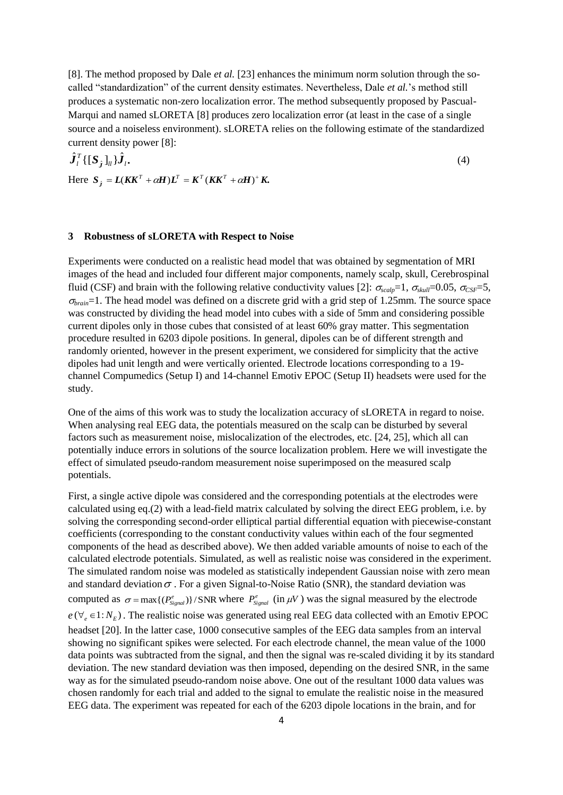[8]. The method proposed by Dale *et al.* [23] enhances the minimum norm solution through the socalled "standardization" of the current density estimates. Nevertheless, Dale *et al.*'s method still produces a systematic non-zero localization error. The method subsequently proposed by Pascual-Marqui and named sLORETA [8] produces zero localization error (at least in the case of a single source and a noiseless environment). sLORETA relies on the following estimate of the standardized current density power [8]:

$$
\hat{\boldsymbol{J}}_i^T \{ [\boldsymbol{S}_j]_{ii} \} \hat{\boldsymbol{J}}_i.
$$
\n
$$
\text{Here } \boldsymbol{S}_j = \boldsymbol{L} (\boldsymbol{K} \boldsymbol{K}^T + \alpha \boldsymbol{H}) \boldsymbol{L}^T = \boldsymbol{K}^T (\boldsymbol{K} \boldsymbol{K}^T + \alpha \boldsymbol{H})^+ \boldsymbol{K}.
$$
\n
$$
(4)
$$

### **3 Robustness of sLORETA with Respect to Noise**

Experiments were conducted on a realistic head model that was obtained by segmentation of MRI images of the head and included four different major components, namely scalp, skull, Cerebrospinal fluid (CSF) and brain with the following relative conductivity values [2]:  $\sigma_{scalp} = 1$ ,  $\sigma_{skall} = 0.05$ ,  $\sigma_{CSF} = 5$ ,  $\sigma_{brain}$ =1. The head model was defined on a discrete grid with a grid step of 1.25mm. The source space was constructed by dividing the head model into cubes with a side of 5mm and considering possible current dipoles only in those cubes that consisted of at least 60% gray matter. This segmentation procedure resulted in 6203 dipole positions. In general, dipoles can be of different strength and randomly oriented, however in the present experiment, we considered for simplicity that the active dipoles had unit length and were vertically oriented. Electrode locations corresponding to a 19 channel Compumedics (Setup I) and 14-channel Emotiv EPOC (Setup II) headsets were used for the study.

One of the aims of this work was to study the localization accuracy of sLORETA in regard to noise. When analysing real EEG data, the potentials measured on the scalp can be disturbed by several factors such as measurement noise, mislocalization of the electrodes, etc. [24, 25], which all can potentially induce errors in solutions of the source localization problem. Here we will investigate the effect of simulated pseudo-random measurement noise superimposed on the measured scalp potentials.

First, a single active dipole was considered and the corresponding potentials at the electrodes were calculated using eq.(2) with a lead-field matrix calculated by solving the direct EEG problem, i.e. by solving the corresponding second-order elliptical partial differential equation with piecewise-constant coefficients (corresponding to the constant conductivity values within each of the four segmented components of the head as described above). We then added variable amounts of noise to each of the calculated electrode potentials. Simulated, as well as realistic noise was considered in the experiment. The simulated random noise was modeled as statistically independent Gaussian noise with zero mean and standard deviation  $\sigma$ . For a given Signal-to-Noise Ratio (SNR), the standard deviation was computed as  $\sigma = \max\{(P_{signal}^e)\}/SNR$  where  $P_{signal}^e$  (in  $\mu V$ ) was the signal measured by the electrode  $e(\forall_e \in 1:N_E)$ . The realistic noise was generated using real EEG data collected with an Emotiv EPOC headset [20]. In the latter case, 1000 consecutive samples of the EEG data samples from an interval showing no significant spikes were selected. For each electrode channel, the mean value of the 1000 data points was subtracted from the signal, and then the signal was re-scaled dividing it by its standard deviation. The new standard deviation was then imposed, depending on the desired SNR, in the same way as for the simulated pseudo-random noise above. One out of the resultant 1000 data values was chosen randomly for each trial and added to the signal to emulate the realistic noise in the measured EEG data. The experiment was repeated for each of the 6203 dipole locations in the brain, and for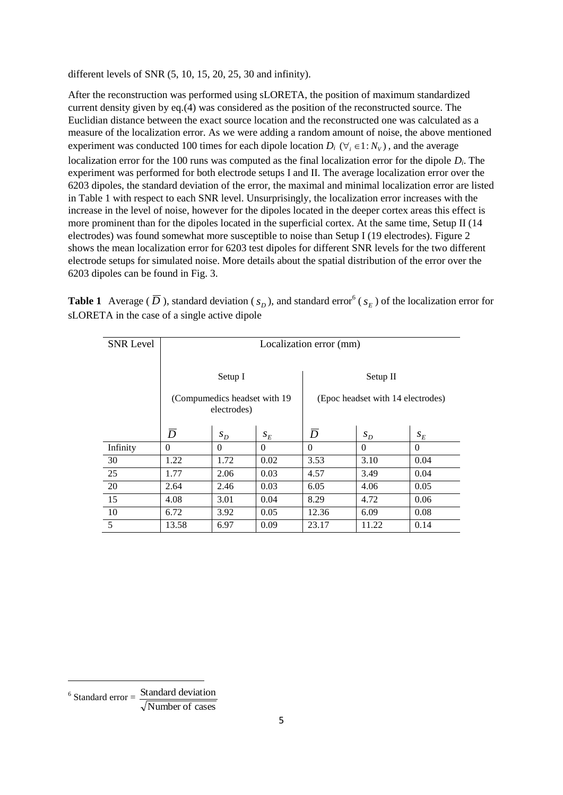different levels of SNR (5, 10, 15, 20, 25, 30 and infinity).

After the reconstruction was performed using sLORETA, the position of maximum standardized current density given by eq.(4) was considered as the position of the reconstructed source. The Euclidian distance between the exact source location and the reconstructed one was calculated as a measure of the localization error. As we were adding a random amount of noise, the above mentioned experiment was conducted 100 times for each dipole location  $D_i$  ( $\forall_i \in \{1: N_v\}$ ), and the average localization error for the 100 runs was computed as the final localization error for the dipole *D<sup>i</sup>* . The experiment was performed for both electrode setups I and II. The average localization error over the 6203 dipoles, the standard deviation of the error, the maximal and minimal localization error are listed in Table 1 with respect to each SNR level. Unsurprisingly, the localization error increases with the increase in the level of noise, however for the dipoles located in the deeper cortex areas this effect is more prominent than for the dipoles located in the superficial cortex. At the same time, Setup II (14) electrodes) was found somewhat more susceptible to noise than Setup I (19 electrodes). Figure 2 shows the mean localization error for 6203 test dipoles for different SNR levels for the two different electrode setups for simulated noise. More details about the spatial distribution of the error over the 6203 dipoles can be found in Fig. 3.

**Table 1** Average ( $\overline{D}$ ), standard deviation ( $s_D$ ), and standard error<sup>6</sup> ( $s_E$ ) of the localization error for sLORETA in the case of a single active dipole

| <b>SNR Level</b> | Localization error (mm) |                                              |          |                                   |          |          |  |  |  |  |
|------------------|-------------------------|----------------------------------------------|----------|-----------------------------------|----------|----------|--|--|--|--|
|                  |                         | Setup I                                      |          | Setup II                          |          |          |  |  |  |  |
|                  |                         | (Compumedics headset with 19)<br>electrodes) |          | (Epoc headset with 14 electrodes) |          |          |  |  |  |  |
|                  | $\overline{D}$          | $S_D$                                        | $S_E$    | $\overline{D}$                    | $S_D$    | $S_E$    |  |  |  |  |
| Infinity         | $\theta$                | $\Omega$                                     | $\Omega$ | $\theta$                          | $\theta$ | $\Omega$ |  |  |  |  |
| 30               | 1.22                    | 1.72                                         | 0.02     | 3.53                              | 3.10     | 0.04     |  |  |  |  |
| 25               | 1.77                    | 2.06                                         | 0.03     | 4.57                              | 3.49     | 0.04     |  |  |  |  |
| 20               | 2.64                    | 2.46                                         | 0.03     | 6.05                              | 4.06     | 0.05     |  |  |  |  |
| 15               | 4.08                    | 3.01                                         | 0.04     | 8.29                              | 4.72     | 0.06     |  |  |  |  |
| 10               | 6.72                    | 3.92                                         | 0.05     | 12.36                             | 6.09     | 0.08     |  |  |  |  |
| 5                | 13.58                   | 6.97                                         | 0.09     | 23.17                             | 11.22    | 0.14     |  |  |  |  |

 $6$  Standard error  $=$   $\frac{\text{Standard deviation}}{\sqrt{3}}$ 

 $\sqrt{\text{Number of cases}}$ 

 $\overline{a}$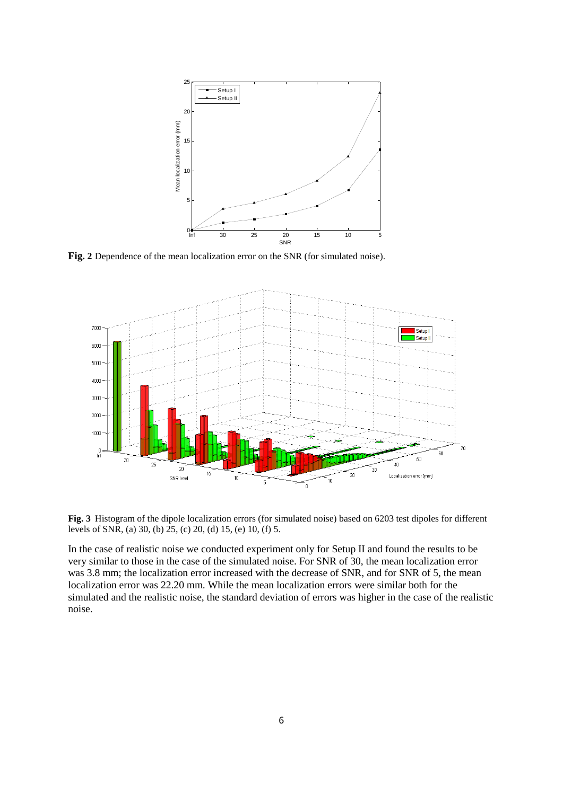

**Fig. 2** Dependence of the mean localization error on the SNR (for simulated noise).



**Fig. 3** Histogram of the dipole localization errors (for simulated noise) based on 6203 test dipoles for different levels of SNR, (a) 30, (b) 25, (c) 20, (d) 15, (e) 10, (f) 5.

In the case of realistic noise we conducted experiment only for Setup II and found the results to be very similar to those in the case of the simulated noise. For SNR of 30, the mean localization error was 3.8 mm; the localization error increased with the decrease of SNR, and for SNR of 5, the mean localization error was 22.20 mm. While the mean localization errors were similar both for the simulated and the realistic noise, the standard deviation of errors was higher in the case of the realistic noise.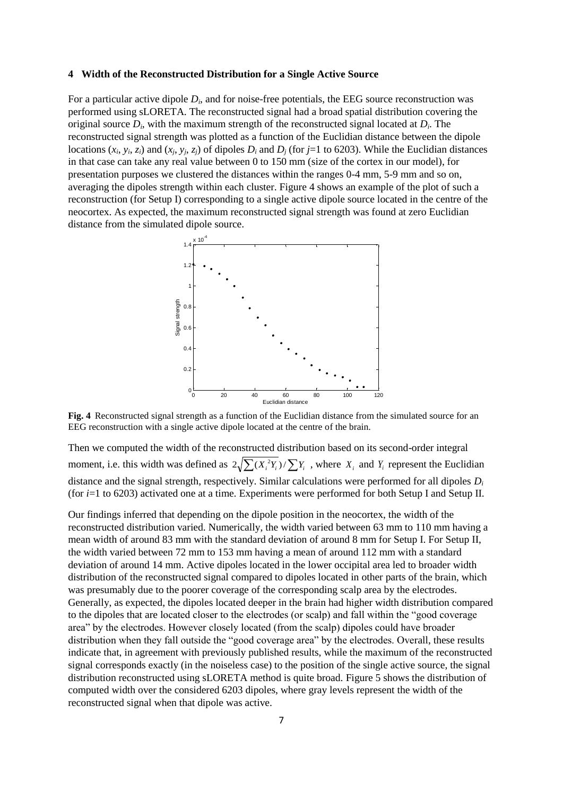#### **4 Width of the Reconstructed Distribution for a Single Active Source**

For a particular active dipole  $D_i$ , and for noise-free potentials, the EEG source reconstruction was performed using sLORETA. The reconstructed signal had a broad spatial distribution covering the original source *D<sup>i</sup>* , with the maximum strength of the reconstructed signal located at *D<sup>i</sup>* . The reconstructed signal strength was plotted as a function of the Euclidian distance between the dipole locations  $(x_i, y_i, z_i)$  and  $(x_j, y_j, z_j)$  of dipoles  $D_i$  and  $D_j$  (for j=1 to 6203). While the Euclidian distances in that case can take any real value between 0 to 150 mm (size of the cortex in our model), for presentation purposes we clustered the distances within the ranges 0-4 mm, 5-9 mm and so on, averaging the dipoles strength within each cluster. Figure 4 shows an example of the plot of such a reconstruction (for Setup I) corresponding to a single active dipole source located in the centre of the neocortex. As expected, the maximum reconstructed signal strength was found at zero Euclidian distance from the simulated dipole source.



**Fig. 4** Reconstructed signal strength as a function of the Euclidian distance from the simulated source for an EEG reconstruction with a single active dipole located at the centre of the brain.

Then we computed the width of the reconstructed distribution based on its second-order integral moment, i.e. this width was defined as  $2\sqrt{\sum_{i} (X_i^2 Y_i)} / \sum_{i} Y_i$ , where  $X_i$  and  $Y_i$  represent the Euclidian distance and the signal strength, respectively. Similar calculations were performed for all dipoles *D<sup>i</sup>* (for *i*=1 to 6203) activated one at a time. Experiments were performed for both Setup I and Setup II.

Our findings inferred that depending on the dipole position in the neocortex, the width of the reconstructed distribution varied. Numerically, the width varied between 63 mm to 110 mm having a mean width of around 83 mm with the standard deviation of around 8 mm for Setup I. For Setup II, the width varied between 72 mm to 153 mm having a mean of around 112 mm with a standard deviation of around 14 mm. Active dipoles located in the lower occipital area led to broader width distribution of the reconstructed signal compared to dipoles located in other parts of the brain, which was presumably due to the poorer coverage of the corresponding scalp area by the electrodes. Generally, as expected, the dipoles located deeper in the brain had higher width distribution compared to the dipoles that are located closer to the electrodes (or scalp) and fall within the "good coverage area" by the electrodes. However closely located (from the scalp) dipoles could have broader distribution when they fall outside the "good coverage area" by the electrodes. Overall, these results indicate that, in agreement with previously published results, while the maximum of the reconstructed signal corresponds exactly (in the noiseless case) to the position of the single active source, the signal distribution reconstructed using sLORETA method is quite broad. Figure 5 shows the distribution of computed width over the considered 6203 dipoles, where gray levels represent the width of the reconstructed signal when that dipole was active.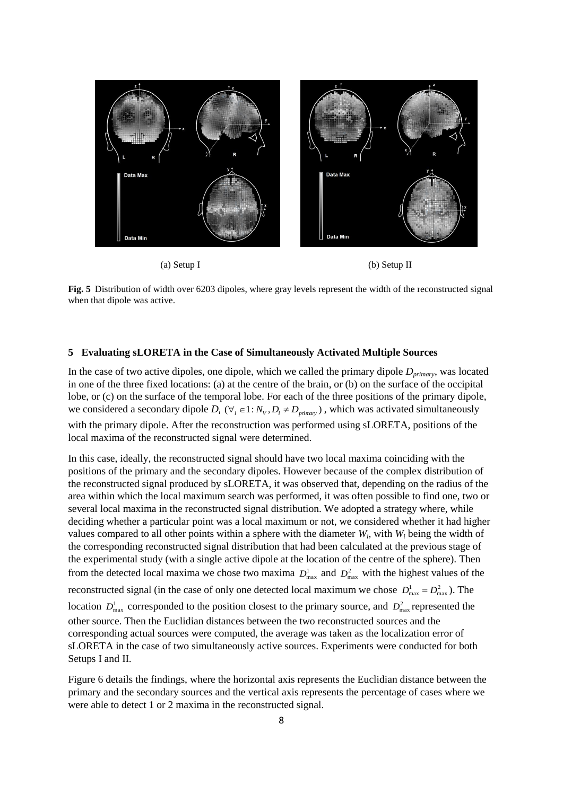





**Fig. 5** Distribution of width over 6203 dipoles, where gray levels represent the width of the reconstructed signal when that dipole was active.

#### **5 Evaluating sLORETA in the Case of Simultaneously Activated Multiple Sources**

In the case of two active dipoles, one dipole, which we called the primary dipole *Dprimary*, was located in one of the three fixed locations: (a) at the centre of the brain, or (b) on the surface of the occipital lobe, or (c) on the surface of the temporal lobe. For each of the three positions of the primary dipole, we considered a secondary dipole  $D_i$  ( $\forall_i \in 1 : N_V, D_i \neq D_{\text{primary}}$ ), which was activated simultaneously with the primary dipole. After the reconstruction was performed using sLORETA, positions of the local maxima of the reconstructed signal were determined.

In this case, ideally, the reconstructed signal should have two local maxima coinciding with the positions of the primary and the secondary dipoles. However because of the complex distribution of the reconstructed signal produced by sLORETA, it was observed that, depending on the radius of the area within which the local maximum search was performed, it was often possible to find one, two or several local maxima in the reconstructed signal distribution. We adopted a strategy where, while deciding whether a particular point was a local maximum or not, we considered whether it had higher values compared to all other points within a sphere with the diameter  $W_i$ , with  $W_i$  being the width of the corresponding reconstructed signal distribution that had been calculated at the previous stage of the experimental study (with a single active dipole at the location of the centre of the sphere). Then from the detected local maxima we chose two maxima  $D_{\text{max}}^1$  and  $D_{\text{max}}^2$  with the highest values of the reconstructed signal (in the case of only one detected local maximum we chose  $D_{\text{max}}^1 = D_{\text{max}}^2$ ). The location  $D_{\text{max}}^1$  corresponded to the position closest to the primary source, and  $D_{\text{max}}^2$  represented the other source. Then the Euclidian distances between the two reconstructed sources and the corresponding actual sources were computed, the average was taken as the localization error of sLORETA in the case of two simultaneously active sources. Experiments were conducted for both Setups I and II.

Figure 6 details the findings, where the horizontal axis represents the Euclidian distance between the primary and the secondary sources and the vertical axis represents the percentage of cases where we were able to detect 1 or 2 maxima in the reconstructed signal.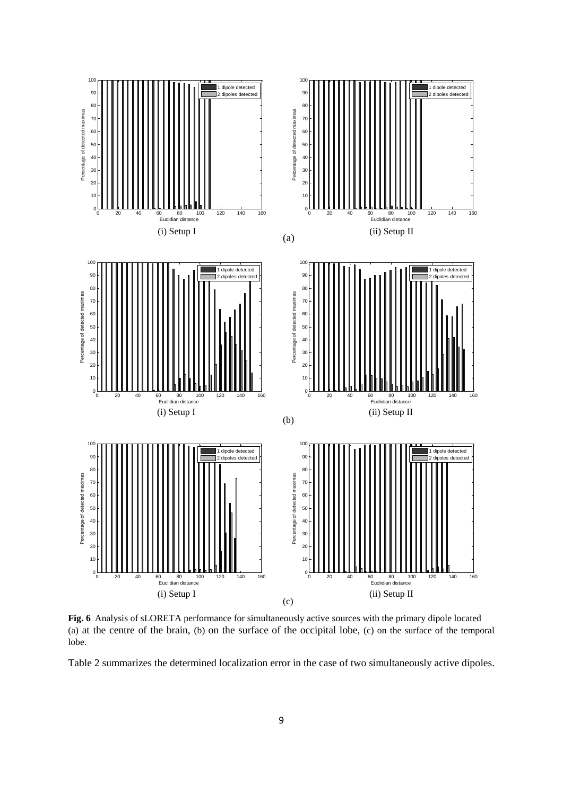

**Fig. 6** Analysis of sLORETA performance for simultaneously active sources with the primary dipole located (a) at the centre of the brain, (b) on the surface of the occipital lobe, (c) on the surface of the temporal lobe.

Table 2 summarizes the determined localization error in the case of two simultaneously active dipoles.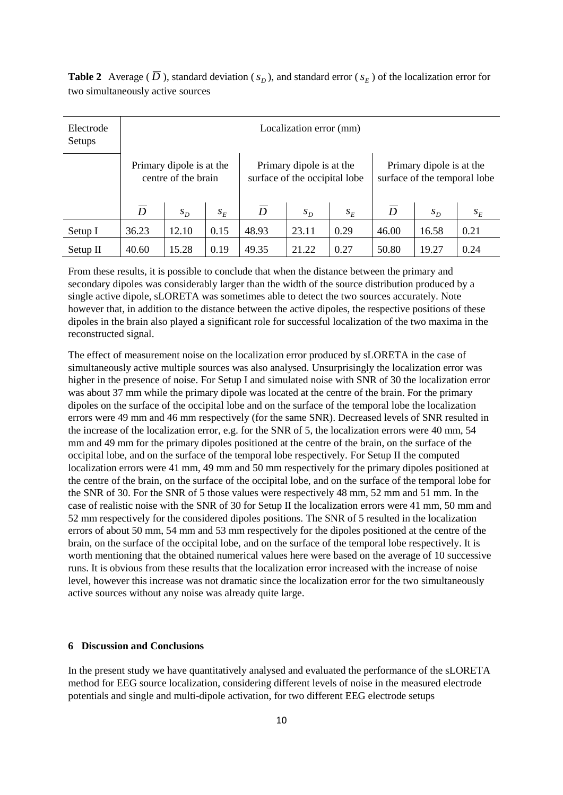**Table 2** Average ( $\overline{D}$ ), standard deviation ( $s_D$ ), and standard error ( $s_E$ ) of the localization error for two simultaneously active sources

| Electrode<br>Setups | Localization error (mm)                         |       |                                                           |                |       |                                                          |                |       |       |  |  |
|---------------------|-------------------------------------------------|-------|-----------------------------------------------------------|----------------|-------|----------------------------------------------------------|----------------|-------|-------|--|--|
|                     | Primary dipole is at the<br>centre of the brain |       | Primary dipole is at the<br>surface of the occipital lobe |                |       | Primary dipole is at the<br>surface of the temporal lobe |                |       |       |  |  |
|                     | $\overline{D}$                                  | $S_D$ | $S_F$                                                     | $\overline{D}$ | $S_D$ | $S_F$                                                    | $\overline{D}$ | $S_D$ | $S_E$ |  |  |
| Setup I             | 36.23                                           | 12.10 | 0.15                                                      | 48.93          | 23.11 | 0.29                                                     | 46.00          | 16.58 | 0.21  |  |  |
| $Setup$ II          | 40.60                                           | 15.28 | 0.19                                                      | 49.35          | 21.22 | 0.27                                                     | 50.80          | 19.27 | 0.24  |  |  |

From these results, it is possible to conclude that when the distance between the primary and secondary dipoles was considerably larger than the width of the source distribution produced by a single active dipole, sLORETA was sometimes able to detect the two sources accurately. Note however that, in addition to the distance between the active dipoles, the respective positions of these dipoles in the brain also played a significant role for successful localization of the two maxima in the reconstructed signal.

The effect of measurement noise on the localization error produced by sLORETA in the case of simultaneously active multiple sources was also analysed. Unsurprisingly the localization error was higher in the presence of noise. For Setup I and simulated noise with SNR of 30 the localization error was about 37 mm while the primary dipole was located at the centre of the brain. For the primary dipoles on the surface of the occipital lobe and on the surface of the temporal lobe the localization errors were 49 mm and 46 mm respectively (for the same SNR). Decreased levels of SNR resulted in the increase of the localization error, e.g. for the SNR of 5, the localization errors were 40 mm, 54 mm and 49 mm for the primary dipoles positioned at the centre of the brain, on the surface of the occipital lobe, and on the surface of the temporal lobe respectively. For Setup II the computed localization errors were 41 mm, 49 mm and 50 mm respectively for the primary dipoles positioned at the centre of the brain, on the surface of the occipital lobe, and on the surface of the temporal lobe for the SNR of 30. For the SNR of 5 those values were respectively 48 mm, 52 mm and 51 mm. In the case of realistic noise with the SNR of 30 for Setup II the localization errors were 41 mm, 50 mm and 52 mm respectively for the considered dipoles positions. The SNR of 5 resulted in the localization errors of about 50 mm, 54 mm and 53 mm respectively for the dipoles positioned at the centre of the brain, on the surface of the occipital lobe, and on the surface of the temporal lobe respectively. It is worth mentioning that the obtained numerical values here were based on the average of 10 successive runs. It is obvious from these results that the localization error increased with the increase of noise level, however this increase was not dramatic since the localization error for the two simultaneously active sources without any noise was already quite large.

### **6 Discussion and Conclusions**

In the present study we have quantitatively analysed and evaluated the performance of the sLORETA method for EEG source localization, considering different levels of noise in the measured electrode potentials and single and multi-dipole activation, for two different EEG electrode setups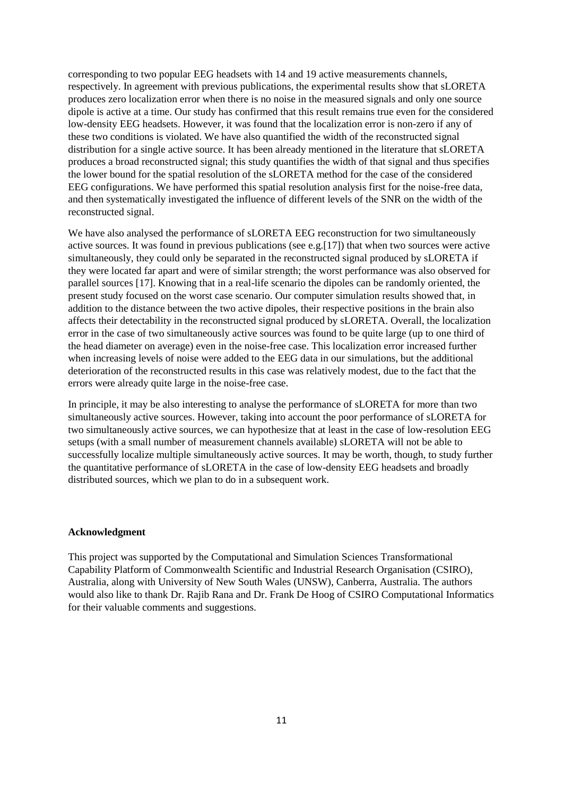corresponding to two popular EEG headsets with 14 and 19 active measurements channels, respectively. In agreement with previous publications, the experimental results show that sLORETA produces zero localization error when there is no noise in the measured signals and only one source dipole is active at a time. Our study has confirmed that this result remains true even for the considered low-density EEG headsets. However, it was found that the localization error is non-zero if any of these two conditions is violated. We have also quantified the width of the reconstructed signal distribution for a single active source. It has been already mentioned in the literature that sLORETA produces a broad reconstructed signal; this study quantifies the width of that signal and thus specifies the lower bound for the spatial resolution of the sLORETA method for the case of the considered EEG configurations. We have performed this spatial resolution analysis first for the noise-free data, and then systematically investigated the influence of different levels of the SNR on the width of the reconstructed signal.

We have also analysed the performance of sLORETA EEG reconstruction for two simultaneously active sources. It was found in previous publications (see e.g.[17]) that when two sources were active simultaneously, they could only be separated in the reconstructed signal produced by sLORETA if they were located far apart and were of similar strength; the worst performance was also observed for parallel sources [17]. Knowing that in a real-life scenario the dipoles can be randomly oriented, the present study focused on the worst case scenario. Our computer simulation results showed that, in addition to the distance between the two active dipoles, their respective positions in the brain also affects their detectability in the reconstructed signal produced by sLORETA. Overall, the localization error in the case of two simultaneously active sources was found to be quite large (up to one third of the head diameter on average) even in the noise-free case. This localization error increased further when increasing levels of noise were added to the EEG data in our simulations, but the additional deterioration of the reconstructed results in this case was relatively modest, due to the fact that the errors were already quite large in the noise-free case.

In principle, it may be also interesting to analyse the performance of sLORETA for more than two simultaneously active sources. However, taking into account the poor performance of sLORETA for two simultaneously active sources, we can hypothesize that at least in the case of low-resolution EEG setups (with a small number of measurement channels available) sLORETA will not be able to successfully localize multiple simultaneously active sources. It may be worth, though, to study further the quantitative performance of sLORETA in the case of low-density EEG headsets and broadly distributed sources, which we plan to do in a subsequent work.

#### **Acknowledgment**

This project was supported by the Computational and Simulation Sciences Transformational Capability Platform of Commonwealth Scientific and Industrial Research Organisation (CSIRO), Australia, along with University of New South Wales (UNSW), Canberra, Australia. The authors would also like to thank Dr. Rajib Rana and Dr. Frank De Hoog of CSIRO Computational Informatics for their valuable comments and suggestions.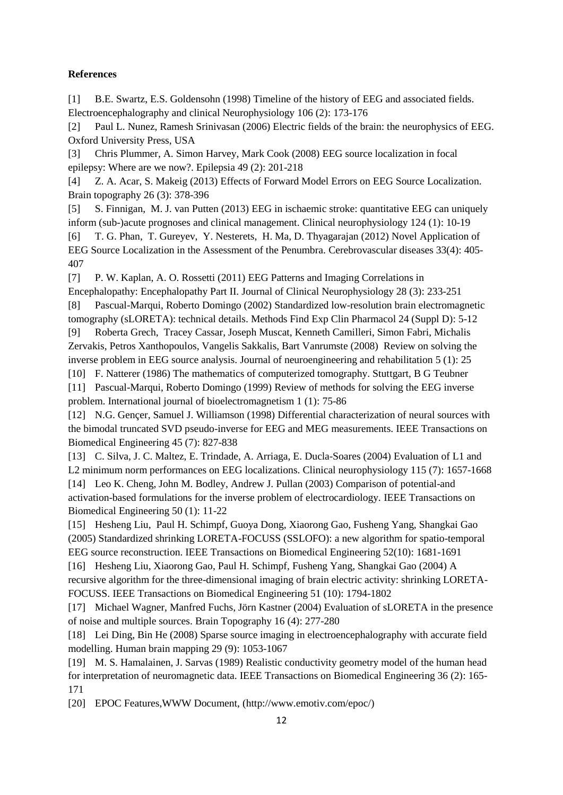## **References**

[1] B.E. Swartz, E.S. Goldensohn (1998) Timeline of the history of EEG and associated fields. Electroencephalography and clinical Neurophysiology 106 (2): 173-176

[2] Paul L. Nunez, Ramesh Srinivasan (2006) Electric fields of the brain: the neurophysics of EEG. Oxford University Press, USA

[3] Chris Plummer, A. Simon Harvey, Mark Cook (2008) EEG source localization in focal epilepsy: Where are we now?. Epilepsia 49 (2): 201-218

[4] Z. A. Acar, S. Makeig (2013) Effects of Forward Model Errors on EEG Source Localization. Brain topography 26 (3): 378-396

[5] S. Finnigan, M. J. van Putten (2013) EEG in ischaemic stroke: quantitative EEG can uniquely inform (sub-)acute prognoses and clinical management. Clinical neurophysiology 124 (1): 10-19

[6] T. G. Phan, T. Gureyev, Y. Nesterets, H. Ma, D. Thyagarajan (2012) Novel Application of EEG Source Localization in the Assessment of the Penumbra. Cerebrovascular diseases 33(4): 405- 407

[7] P. W. Kaplan, A. O. Rossetti (2011) EEG Patterns and Imaging Correlations in Encephalopathy: Encephalopathy Part II. Journal of Clinical Neurophysiology 28 (3): 233-251

[8] Pascual-Marqui, Roberto Domingo (2002) Standardized low-resolution brain electromagnetic tomography (sLORETA): technical details. Methods Find Exp Clin Pharmacol 24 (Suppl D): 5-12

[9] Roberta Grech, Tracey Cassar, Joseph Muscat, Kenneth Camilleri, Simon Fabri, Michalis Zervakis, Petros Xanthopoulos, Vangelis Sakkalis, Bart Vanrumste (2008) Review on solving the inverse problem in EEG source analysis. Journal of neuroengineering and rehabilitation 5 (1): 25

[10] F. Natterer (1986) The mathematics of computerized tomography. Stuttgart, B G Teubner

[11] Pascual-Marqui, Roberto Domingo (1999) Review of methods for solving the EEG inverse problem. International journal of bioelectromagnetism 1 (1): 75-86

[12] N.G. Gençer, Samuel J. Williamson (1998) Differential characterization of neural sources with the bimodal truncated SVD pseudo-inverse for EEG and MEG measurements. IEEE Transactions on Biomedical Engineering 45 (7): 827-838

[13] C. Silva, J. C. Maltez, E. Trindade, A. Arriaga, E. Ducla-Soares (2004) Evaluation of L1 and L2 minimum norm performances on EEG localizations. Clinical neurophysiology 115 (7): 1657-1668 [14] Leo K. Cheng, John M. Bodley, Andrew J. Pullan (2003) Comparison of potential-and

activation-based formulations for the inverse problem of electrocardiology. IEEE Transactions on Biomedical Engineering 50 (1): 11-22

[15] Hesheng Liu, Paul H. Schimpf, Guoya Dong, Xiaorong Gao, Fusheng Yang, Shangkai Gao (2005) Standardized shrinking LORETA-FOCUSS (SSLOFO): a new algorithm for spatio-temporal EEG source reconstruction. IEEE Transactions on Biomedical Engineering 52(10): 1681-1691

[16] Hesheng Liu, Xiaorong Gao, Paul H. Schimpf, Fusheng Yang, Shangkai Gao (2004) A recursive algorithm for the three-dimensional imaging of brain electric activity: shrinking LORETA-FOCUSS. IEEE Transactions on Biomedical Engineering 51 (10): 1794-1802

[17] Michael Wagner, Manfred Fuchs, Jörn Kastner (2004) Evaluation of sLORETA in the presence of noise and multiple sources. Brain Topography 16 (4): 277-280

[18] Lei Ding, Bin He (2008) Sparse source imaging in electroencephalography with accurate field modelling. Human brain mapping 29 (9): 1053-1067

[19] M. S. Hamalainen, J. Sarvas (1989) Realistic conductivity geometry model of the human head for interpretation of neuromagnetic data. IEEE Transactions on Biomedical Engineering 36 (2): 165- 171

[20] EPOC Features,WWW Document, [\(http://www.emotiv.com/epoc/\)](http://www.emotiv.com/epoc/)